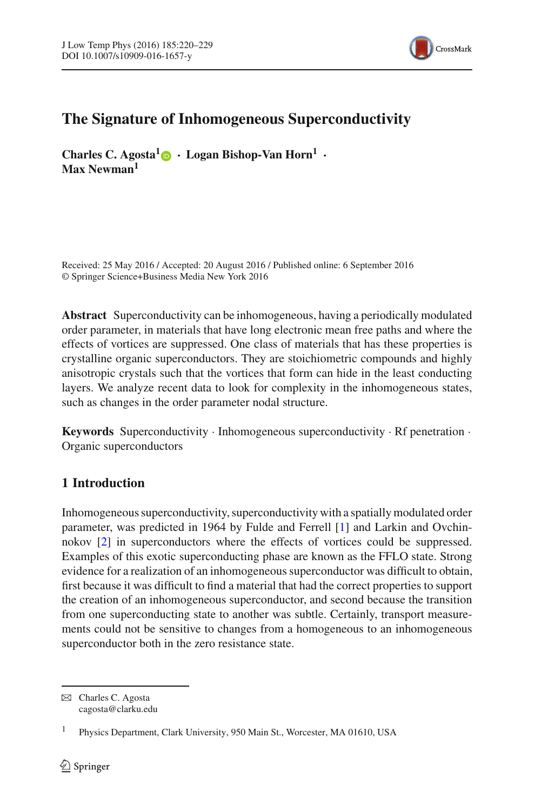

# **The Signature of Inhomogeneous Superconductivity**

**Charles C. Agosta[1](http://orcid.org/0000-0001-5756-0699)** · **Logan Bishop-Van Horn1** · **Max Newman1**

Received: 25 May 2016 / Accepted: 20 August 2016 / Published online: 6 September 2016 © Springer Science+Business Media New York 2016

**Abstract** Superconductivity can be inhomogeneous, having a periodically modulated order parameter, in materials that have long electronic mean free paths and where the effects of vortices are suppressed. One class of materials that has these properties is crystalline organic superconductors. They are stoichiometric compounds and highly anisotropic crystals such that the vortices that form can hide in the least conducting layers. We analyze recent data to look for complexity in the inhomogeneous states, such as changes in the order parameter nodal structure.

**Keywords** Superconductivity · Inhomogeneous superconductivity · Rf penetration · Organic superconductors

## **1 Introduction**

Inhomogeneous superconductivity, superconductivity with a spatially modulated order parameter, was predicted in 1964 by Fulde and Ferrell [\[1\]](#page-8-0) and Larkin and Ovchinnokov [\[2](#page-8-1)] in superconductors where the effects of vortices could be suppressed. Examples of this exotic superconducting phase are known as the FFLO state. Strong evidence for a realization of an inhomogeneous superconductor was difficult to obtain, first because it was difficult to find a material that had the correct properties to support the creation of an inhomogeneous superconductor, and second because the transition from one superconducting state to another was subtle. Certainly, transport measurements could not be sensitive to changes from a homogeneous to an inhomogeneous superconductor both in the zero resistance state.

 $\boxtimes$  Charles C. Agosta cagosta@clarku.edu

<sup>1</sup> Physics Department, Clark University, 950 Main St., Worcester, MA 01610, USA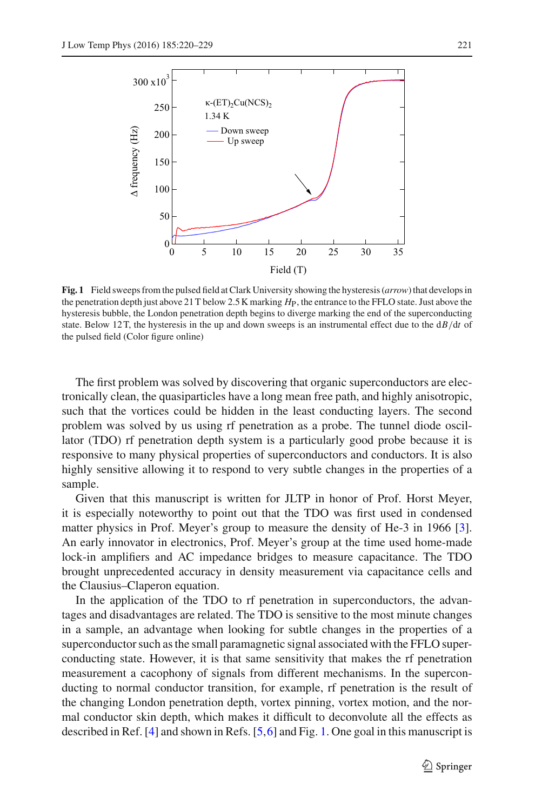

<span id="page-1-0"></span>**Fig. 1** Field sweeps from the pulsed field at Clark University showing the hysteresis (*arrow*) that develops in the penetration depth just above 21 T below 2.5 K marking *H*P, the entrance to the FFLO state. Just above the hysteresis bubble, the London penetration depth begins to diverge marking the end of the superconducting state. Below 12 T, the hysteresis in the up and down sweeps is an instrumental effect due to the d*B/*d*t* of the pulsed field (Color figure online)

The first problem was solved by discovering that organic superconductors are electronically clean, the quasiparticles have a long mean free path, and highly anisotropic, such that the vortices could be hidden in the least conducting layers. The second problem was solved by us using rf penetration as a probe. The tunnel diode oscillator (TDO) rf penetration depth system is a particularly good probe because it is responsive to many physical properties of superconductors and conductors. It is also highly sensitive allowing it to respond to very subtle changes in the properties of a sample.

Given that this manuscript is written for JLTP in honor of Prof. Horst Meyer, it is especially noteworthy to point out that the TDO was first used in condensed matter physics in Prof. Meyer's group to measure the density of He-3 in 1966 [\[3](#page-8-2)]. An early innovator in electronics, Prof. Meyer's group at the time used home-made lock-in amplifiers and AC impedance bridges to measure capacitance. The TDO brought unprecedented accuracy in density measurement via capacitance cells and the Clausius–Claperon equation.

In the application of the TDO to rf penetration in superconductors, the advantages and disadvantages are related. The TDO is sensitive to the most minute changes in a sample, an advantage when looking for subtle changes in the properties of a superconductor such as the small paramagnetic signal associated with the FFLO superconducting state. However, it is that same sensitivity that makes the rf penetration measurement a cacophony of signals from different mechanisms. In the superconducting to normal conductor transition, for example, rf penetration is the result of the changing London penetration depth, vortex pinning, vortex motion, and the normal conductor skin depth, which makes it difficult to deconvolute all the effects as described in Ref. [\[4](#page-8-3)] and shown in Refs. [\[5](#page-8-4)[,6](#page-8-5)] and Fig. [1.](#page-1-0) One goal in this manuscript is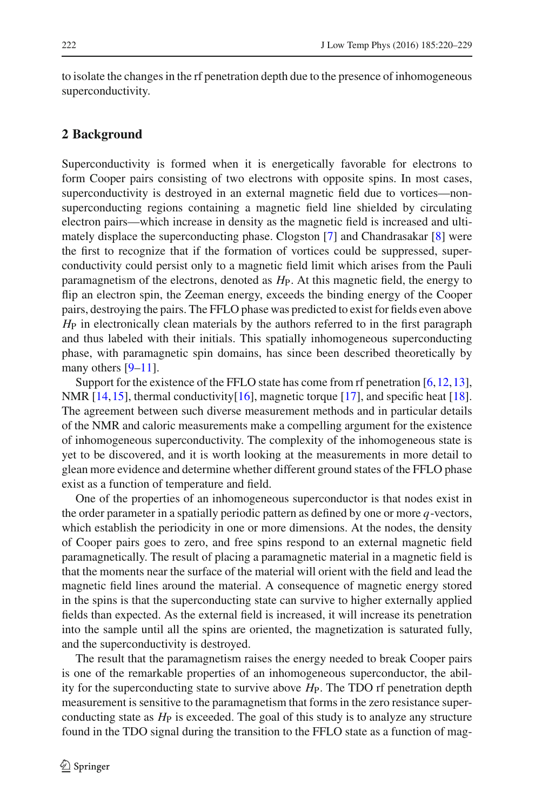to isolate the changes in the rf penetration depth due to the presence of inhomogeneous superconductivity.

#### **2 Background**

Superconductivity is formed when it is energetically favorable for electrons to form Cooper pairs consisting of two electrons with opposite spins. In most cases, superconductivity is destroyed in an external magnetic field due to vortices—nonsuperconducting regions containing a magnetic field line shielded by circulating electron pairs—which increase in density as the magnetic field is increased and ultimately displace the superconducting phase. Clogston [\[7\]](#page-9-0) and Chandrasakar [\[8\]](#page-9-1) were the first to recognize that if the formation of vortices could be suppressed, superconductivity could persist only to a magnetic field limit which arises from the Pauli paramagnetism of the electrons, denoted as *H*P. At this magnetic field, the energy to flip an electron spin, the Zeeman energy, exceeds the binding energy of the Cooper pairs, destroying the pairs. The FFLO phase was predicted to exist for fields even above *H*<sub>P</sub> in electronically clean materials by the authors referred to in the first paragraph and thus labeled with their initials. This spatially inhomogeneous superconducting phase, with paramagnetic spin domains, has since been described theoretically by many others [\[9](#page-9-2)[–11](#page-9-3)].

Support for the existence of the FFLO state has come from rf penetration  $[6, 12, 13]$  $[6, 12, 13]$ , NMR  $[14, 15]$  $[14, 15]$ , thermal conductivity $[16]$  $[16]$ , magnetic torque  $[17]$  $[17]$ , and specific heat  $[18]$  $[18]$ . The agreement between such diverse measurement methods and in particular details of the NMR and caloric measurements make a compelling argument for the existence of inhomogeneous superconductivity. The complexity of the inhomogeneous state is yet to be discovered, and it is worth looking at the measurements in more detail to glean more evidence and determine whether different ground states of the FFLO phase exist as a function of temperature and field.

One of the properties of an inhomogeneous superconductor is that nodes exist in the order parameter in a spatially periodic pattern as defined by one or more *q*-vectors, which establish the periodicity in one or more dimensions. At the nodes, the density of Cooper pairs goes to zero, and free spins respond to an external magnetic field paramagnetically. The result of placing a paramagnetic material in a magnetic field is that the moments near the surface of the material will orient with the field and lead the magnetic field lines around the material. A consequence of magnetic energy stored in the spins is that the superconducting state can survive to higher externally applied fields than expected. As the external field is increased, it will increase its penetration into the sample until all the spins are oriented, the magnetization is saturated fully, and the superconductivity is destroyed.

The result that the paramagnetism raises the energy needed to break Cooper pairs is one of the remarkable properties of an inhomogeneous superconductor, the ability for the superconducting state to survive above  $H_P$ . The TDO rf penetration depth measurement is sensitive to the paramagnetism that forms in the zero resistance superconducting state as *H*<sup>P</sup> is exceeded. The goal of this study is to analyze any structure found in the TDO signal during the transition to the FFLO state as a function of mag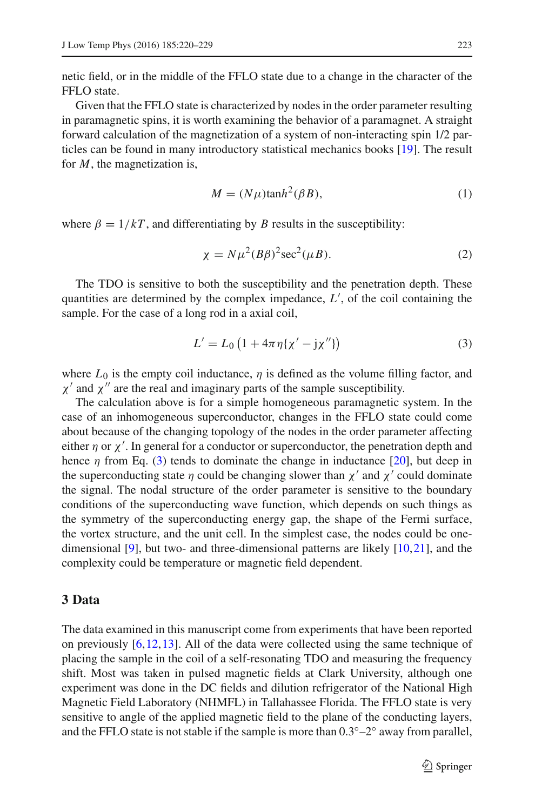netic field, or in the middle of the FFLO state due to a change in the character of the FFLO state.

Given that the FFLO state is characterized by nodes in the order parameter resulting in paramagnetic spins, it is worth examining the behavior of a paramagnet. A straight forward calculation of the magnetization of a system of non-interacting spin 1/2 particles can be found in many introductory statistical mechanics books [\[19\]](#page-9-11). The result for *M*, the magnetization is,

$$
M = (N\mu)\tanh^2(\beta B),\tag{1}
$$

where  $\beta = 1/kT$ , and differentiating by *B* results in the susceptibility:

$$
\chi = N\mu^2 (B\beta)^2 \sec^2(\mu B). \tag{2}
$$

The TDO is sensitive to both the susceptibility and the penetration depth. These quantities are determined by the complex impedance, *L*′ , of the coil containing the sample. For the case of a long rod in a axial coil,

$$
L' = L_0 \left( 1 + 4\pi \eta \{ \chi' - j \chi'' \} \right)
$$
 (3)

<span id="page-3-0"></span>where  $L_0$  is the empty coil inductance,  $\eta$  is defined as the volume filling factor, and  $\chi'$  and  $\chi''$  are the real and imaginary parts of the sample susceptibility.

The calculation above is for a simple homogeneous paramagnetic system. In the case of an inhomogeneous superconductor, changes in the FFLO state could come about because of the changing topology of the nodes in the order parameter affecting either  $\eta$  or  $\chi'$ . In general for a conductor or superconductor, the penetration depth and hence  $\eta$  from Eq. [\(3\)](#page-3-0) tends to dominate the change in inductance [\[20](#page-9-12)], but deep in the superconducting state  $\eta$  could be changing slower than  $\chi'$  and  $\chi'$  could dominate the signal. The nodal structure of the order parameter is sensitive to the boundary conditions of the superconducting wave function, which depends on such things as the symmetry of the superconducting energy gap, the shape of the Fermi surface, the vortex structure, and the unit cell. In the simplest case, the nodes could be onedimensional [\[9\]](#page-9-2), but two- and three-dimensional patterns are likely [\[10,](#page-9-13)[21\]](#page-9-14), and the complexity could be temperature or magnetic field dependent.

#### **3 Data**

The data examined in this manuscript come from experiments that have been reported on previously  $[6,12,13]$  $[6,12,13]$  $[6,12,13]$  $[6,12,13]$ . All of the data were collected using the same technique of placing the sample in the coil of a self-resonating TDO and measuring the frequency shift. Most was taken in pulsed magnetic fields at Clark University, although one experiment was done in the DC fields and dilution refrigerator of the National High Magnetic Field Laboratory (NHMFL) in Tallahassee Florida. The FFLO state is very sensitive to angle of the applied magnetic field to the plane of the conducting layers, and the FFLO state is not stable if the sample is more than  $0.3°-2°$  away from parallel,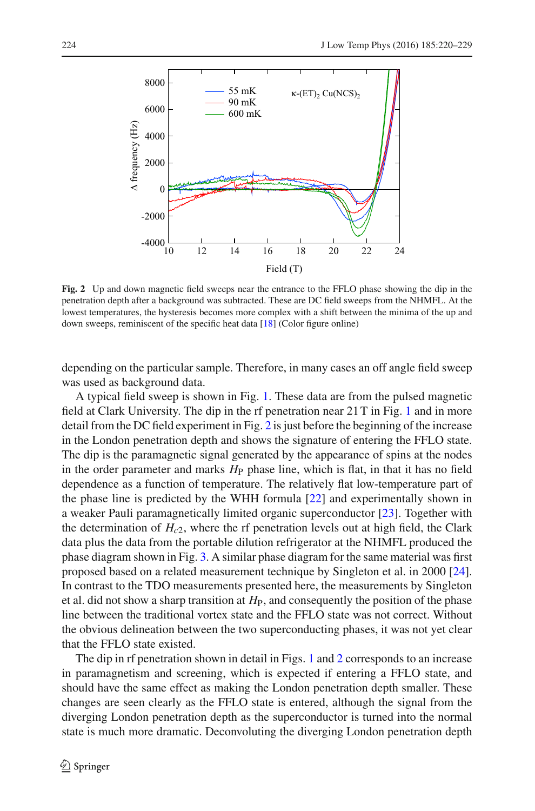

<span id="page-4-0"></span>**Fig. 2** Up and down magnetic field sweeps near the entrance to the FFLO phase showing the dip in the penetration depth after a background was subtracted. These are DC field sweeps from the NHMFL. At the lowest temperatures, the hysteresis becomes more complex with a shift between the minima of the up and down sweeps, reminiscent of the specific heat data [\[18](#page-9-10)] (Color figure online)

depending on the particular sample. Therefore, in many cases an off angle field sweep was used as background data.

A typical field sweep is shown in Fig. [1.](#page-1-0) These data are from the pulsed magnetic field at Clark University. The dip in the rf penetration near 21 T in Fig. [1](#page-1-0) and in more detail from the DC field experiment in Fig. [2](#page-4-0) is just before the beginning of the increase in the London penetration depth and shows the signature of entering the FFLO state. The dip is the paramagnetic signal generated by the appearance of spins at the nodes in the order parameter and marks  $H_P$  phase line, which is flat, in that it has no field dependence as a function of temperature. The relatively flat low-temperature part of the phase line is predicted by the WHH formula [\[22](#page-9-15)] and experimentally shown in a weaker Pauli paramagnetically limited organic superconductor [\[23](#page-9-16)]. Together with the determination of  $H_{c2}$ , where the rf penetration levels out at high field, the Clark data plus the data from the portable dilution refrigerator at the NHMFL produced the phase diagram shown in Fig. [3.](#page-5-0) A similar phase diagram for the same material was first proposed based on a related measurement technique by Singleton et al. in 2000 [\[24](#page-9-17)]. In contrast to the TDO measurements presented here, the measurements by Singleton et al. did not show a sharp transition at  $H<sub>P</sub>$ , and consequently the position of the phase line between the traditional vortex state and the FFLO state was not correct. Without the obvious delineation between the two superconducting phases, it was not yet clear that the FFLO state existed.

The dip in rf penetration shown in detail in Figs. [1](#page-1-0) and [2](#page-4-0) corresponds to an increase in paramagnetism and screening, which is expected if entering a FFLO state, and should have the same effect as making the London penetration depth smaller. These changes are seen clearly as the FFLO state is entered, although the signal from the diverging London penetration depth as the superconductor is turned into the normal state is much more dramatic. Deconvoluting the diverging London penetration depth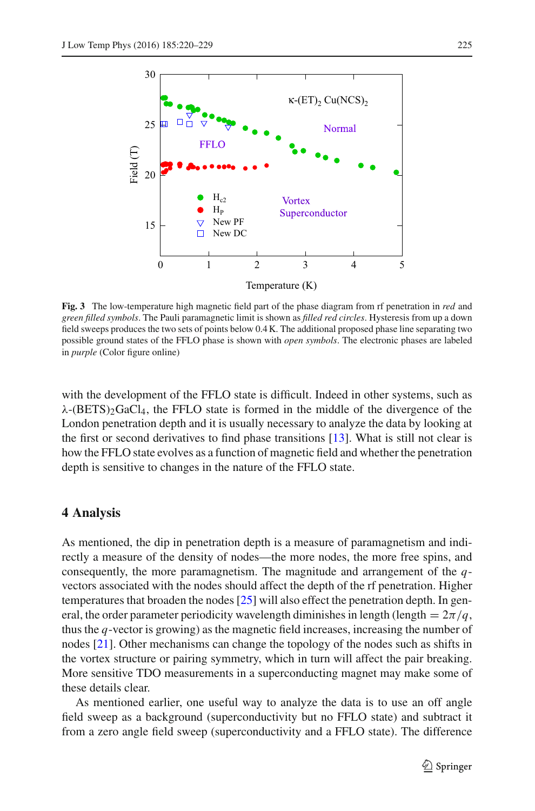

<span id="page-5-0"></span>**Fig. 3** The low-temperature high magnetic field part of the phase diagram from rf penetration in *red* and *green filled symbols*. The Pauli paramagnetic limit is shown as *filled red circles*. Hysteresis from up a down field sweeps produces the two sets of points below 0.4 K. The additional proposed phase line separating two possible ground states of the FFLO phase is shown with *open symbols*. The electronic phases are labeled in *purple* (Color figure online)

with the development of the FFLO state is difficult. Indeed in other systems, such as  $\lambda$ -(BETS)<sub>2</sub>GaCl<sub>4</sub>, the FFLO state is formed in the middle of the divergence of the London penetration depth and it is usually necessary to analyze the data by looking at the first or second derivatives to find phase transitions [\[13](#page-9-5)]. What is still not clear is how the FFLO state evolves as a function of magnetic field and whether the penetration depth is sensitive to changes in the nature of the FFLO state.

#### **4 Analysis**

As mentioned, the dip in penetration depth is a measure of paramagnetism and indirectly a measure of the density of nodes—the more nodes, the more free spins, and consequently, the more paramagnetism. The magnitude and arrangement of the *q*vectors associated with the nodes should affect the depth of the rf penetration. Higher temperatures that broaden the nodes [\[25\]](#page-9-18) will also effect the penetration depth. In general, the order parameter periodicity wavelength diminishes in length (length  $= 2\pi/q$ , thus the *q*-vector is growing) as the magnetic field increases, increasing the number of nodes [\[21\]](#page-9-14). Other mechanisms can change the topology of the nodes such as shifts in the vortex structure or pairing symmetry, which in turn will affect the pair breaking. More sensitive TDO measurements in a superconducting magnet may make some of these details clear.

As mentioned earlier, one useful way to analyze the data is to use an off angle field sweep as a background (superconductivity but no FFLO state) and subtract it from a zero angle field sweep (superconductivity and a FFLO state). The difference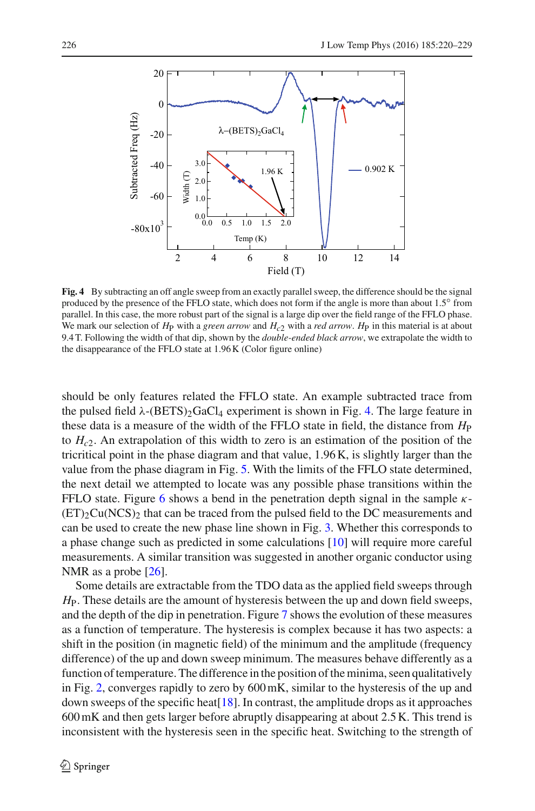

<span id="page-6-0"></span>**Fig. 4** By subtracting an off angle sweep from an exactly parallel sweep, the difference should be the signal produced by the presence of the FFLO state, which does not form if the angle is more than about 1.5<sup>°</sup> from parallel. In this case, the more robust part of the signal is a large dip over the field range of the FFLO phase. We mark our selection of  $H_P$  with a *green arrow* and  $H_{c2}$  with a *red arrow*.  $H_P$  in this material is at about 9.4 T. Following the width of that dip, shown by the *double-ended black arrow*, we extrapolate the width to the disappearance of the FFLO state at 1.96 K (Color figure online)

should be only features related the FFLO state. An example subtracted trace from the pulsed field  $\lambda$ -(BETS)<sub>2</sub>GaCl<sub>4</sub> experiment is shown in Fig. [4.](#page-6-0) The large feature in these data is a measure of the width of the FFLO state in field, the distance from  $H_P$ to *Hc*2. An extrapolation of this width to zero is an estimation of the position of the tricritical point in the phase diagram and that value, 1.96 K, is slightly larger than the value from the phase diagram in Fig. [5.](#page-7-0) With the limits of the FFLO state determined, the next detail we attempted to locate was any possible phase transitions within the FFLO state. Figure [6](#page-7-1) shows a bend in the penetration depth signal in the sample  $\kappa$ - $(ET)_{2}Cu(NCS)_{2}$  that can be traced from the pulsed field to the DC measurements and can be used to create the new phase line shown in Fig. [3.](#page-5-0) Whether this corresponds to a phase change such as predicted in some calculations [\[10\]](#page-9-13) will require more careful measurements. A similar transition was suggested in another organic conductor using NMR as a probe [\[26](#page-9-19)].

Some details are extractable from the TDO data as the applied field sweeps through *H*P. These details are the amount of hysteresis between the up and down field sweeps, and the depth of the dip in penetration. Figure [7](#page-8-6) shows the evolution of these measures as a function of temperature. The hysteresis is complex because it has two aspects: a shift in the position (in magnetic field) of the minimum and the amplitude (frequency difference) of the up and down sweep minimum. The measures behave differently as a function of temperature. The difference in the position of the minima, seen qualitatively in Fig. [2,](#page-4-0) converges rapidly to zero by 600mK, similar to the hysteresis of the up and down sweeps of the specific heat  $[18]$ . In contrast, the amplitude drops as it approaches 600 mK and then gets larger before abruptly disappearing at about 2.5 K. This trend is inconsistent with the hysteresis seen in the specific heat. Switching to the strength of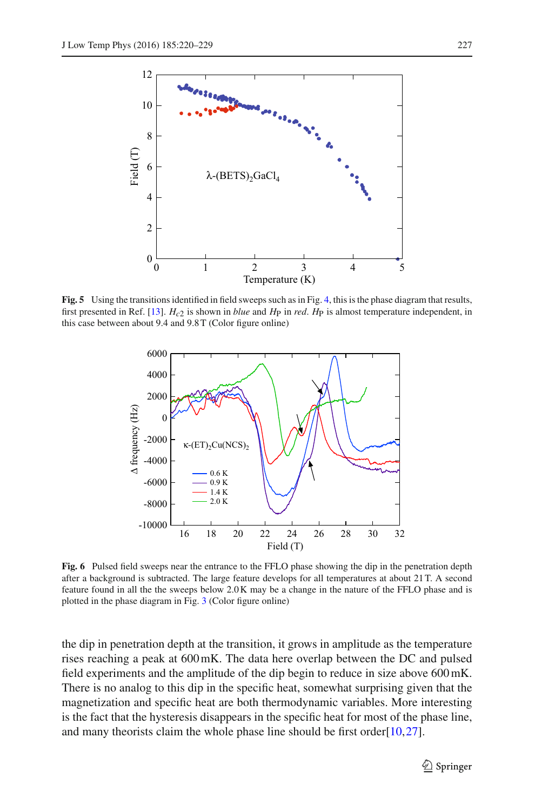

<span id="page-7-0"></span>**Fig. 5** Using the transitions identified in field sweeps such as in Fig. [4,](#page-6-0) this is the phase diagram that results, first presented in Ref. [\[13\]](#page-9-5). *Hc*2 is shown in *blue* and *H*P in *red*. *H*P is almost temperature independent, in this case between about 9.4 and 9.8 T (Color figure online)



<span id="page-7-1"></span>**Fig. 6** Pulsed field sweeps near the entrance to the FFLO phase showing the dip in the penetration depth after a background is subtracted. The large feature develops for all temperatures at about 21 T. A second feature found in all the the sweeps below 2.0 K may be a change in the nature of the FFLO phase and is plotted in the phase diagram in Fig. [3](#page-5-0) (Color figure online)

the dip in penetration depth at the transition, it grows in amplitude as the temperature rises reaching a peak at 600 mK. The data here overlap between the DC and pulsed field experiments and the amplitude of the dip begin to reduce in size above 600 mK. There is no analog to this dip in the specific heat, somewhat surprising given that the magnetization and specific heat are both thermodynamic variables. More interesting is the fact that the hysteresis disappears in the specific heat for most of the phase line, and many theorists claim the whole phase line should be first order  $[10,27]$  $[10,27]$  $[10,27]$ .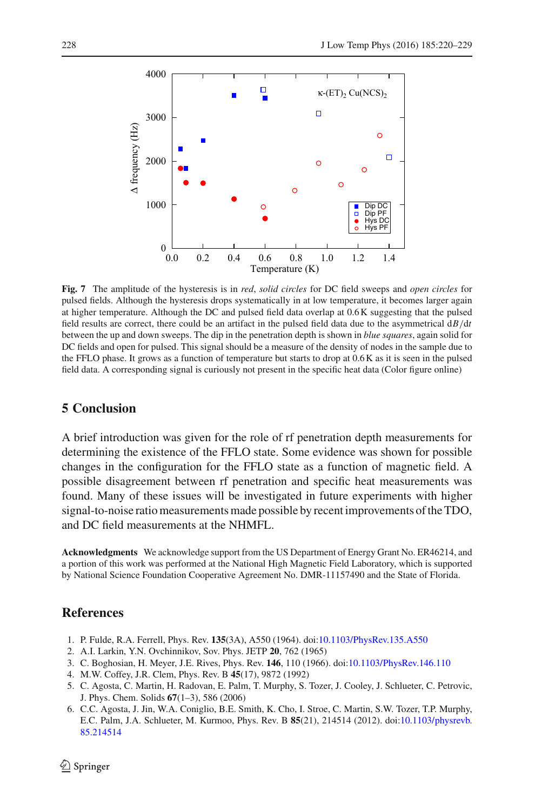

<span id="page-8-6"></span>**Fig. 7** The amplitude of the hysteresis is in *red*, *solid circles* for DC field sweeps and *open circles* for pulsed fields. Although the hysteresis drops systematically in at low temperature, it becomes larger again at higher temperature. Although the DC and pulsed field data overlap at 0.6 K suggesting that the pulsed field results are correct, there could be an artifact in the pulsed field data due to the asymmetrical d*B/*d*t* between the up and down sweeps. The dip in the penetration depth is shown in *blue squares*, again solid for DC fields and open for pulsed. This signal should be a measure of the density of nodes in the sample due to the FFLO phase. It grows as a function of temperature but starts to drop at 0.6 K as it is seen in the pulsed field data. A corresponding signal is curiously not present in the specific heat data (Color figure online)

### **5 Conclusion**

A brief introduction was given for the role of rf penetration depth measurements for determining the existence of the FFLO state. Some evidence was shown for possible changes in the configuration for the FFLO state as a function of magnetic field. A possible disagreement between rf penetration and specific heat measurements was found. Many of these issues will be investigated in future experiments with higher signal-to-noise ratio measurements made possible by recent improvements of the TDO, and DC field measurements at the NHMFL.

**Acknowledgments** We acknowledge support from the US Department of Energy Grant No. ER46214, and a portion of this work was performed at the National High Magnetic Field Laboratory, which is supported by National Science Foundation Cooperative Agreement No. DMR-11157490 and the State of Florida.

#### **References**

- <span id="page-8-0"></span>1. P. Fulde, R.A. Ferrell, Phys. Rev. **135**(3A), A550 (1964). doi[:10.1103/PhysRev.135.A550](http://dx.doi.org/10.1103/PhysRev.135.A550)
- <span id="page-8-1"></span>2. A.I. Larkin, Y.N. Ovchinnikov, Sov. Phys. JETP **20**, 762 (1965)
- <span id="page-8-2"></span>3. C. Boghosian, H. Meyer, J.E. Rives, Phys. Rev. **146**, 110 (1966). doi[:10.1103/PhysRev.146.110](http://dx.doi.org/10.1103/PhysRev.146.110)
- <span id="page-8-3"></span>4. M.W. Coffey, J.R. Clem, Phys. Rev. B **45**(17), 9872 (1992)
- <span id="page-8-4"></span>5. C. Agosta, C. Martin, H. Radovan, E. Palm, T. Murphy, S. Tozer, J. Cooley, J. Schlueter, C. Petrovic, J. Phys. Chem. Solids **67**(1–3), 586 (2006)
- <span id="page-8-5"></span>6. C.C. Agosta, J. Jin, W.A. Coniglio, B.E. Smith, K. Cho, I. Stroe, C. Martin, S.W. Tozer, T.P. Murphy, E.C. Palm, J.A. Schlueter, M. Kurmoo, Phys. Rev. B **85**(21), 214514 (2012). doi[:10.1103/physrevb.](http://dx.doi.org/10.1103/physrevb.85.214514) [85.214514](http://dx.doi.org/10.1103/physrevb.85.214514)